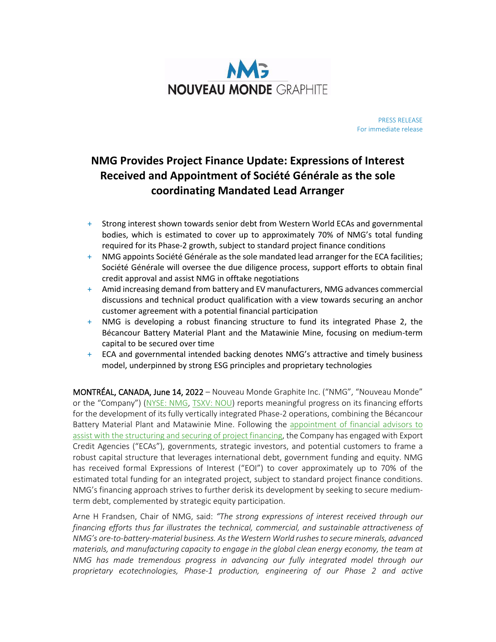

PRESS RELEASE For immediate release

# **NMG Provides Project Finance Update: Expressions of Interest Received and Appointment of Société Générale as the sole coordinating Mandated Lead Arranger**

- + Strong interest shown towards senior debt from Western World ECAs and governmental bodies, which is estimated to cover up to approximately 70% of NMG's total funding required for its Phase-2 growth, subject to standard project finance conditions
- + NMG appoints Société Générale as the sole mandated lead arranger for the ECA facilities; Société Générale will oversee the due diligence process, support efforts to obtain final credit approval and assist NMG in offtake negotiations
- + Amid increasing demand from battery and EV manufacturers, NMG advances commercial discussions and technical product qualification with a view towards securing an anchor customer agreement with a potential financial participation
- + NMG is developing a robust financing structure to fund its integrated Phase 2, the Bécancour Battery Material Plant and the Matawinie Mine, focusing on medium-term capital to be secured over time
- + ECA and governmental intended backing denotes NMG's attractive and timely business model, underpinned by strong ESG principles and proprietary technologies

MONTRÉAL, CANADA, June 14, 2022 – Nouveau Monde Graphite Inc. ("NMG", "Nouveau Monde" or the "Company") [\(NYSE: NMG,](https://www.nyse.com/quote/XNYS:NMG) [TSXV: NOU\)](https://money.tmx.com/fr/quote/NOU) reports meaningful progress on its financing efforts for the development of its fully vertically integrated Phase-2 operations, combining the Bécancour Battery Material Plant and Matawinie Mine. Following the [appointment of financial advisors](https://nmg.com/eca-matawinie/) to assist with [the structuring and securing of project financing,](https://nmg.com/eca-matawinie/) the Company has engaged with Export Credit Agencies ("ECAs"), governments, strategic investors, and potential customers to frame a robust capital structure that leverages international debt, government funding and equity. NMG has received formal Expressions of Interest ("EOI") to cover approximately up to 70% of the estimated total funding for an integrated project, subject to standard project finance conditions. NMG's financing approach strives to further derisk its development by seeking to secure mediumterm debt, complemented by strategic equity participation.

Arne H Frandsen, Chair of NMG, said: *"The strong expressions of interest received through our financing efforts thus far illustrates the technical, commercial, and sustainable attractiveness of NMG's ore-to-battery-material business. As the Western World rushes to secure minerals, advanced materials, and manufacturing capacity to engage in the global clean energy economy, the team at NMG has made tremendous progress in advancing our fully integrated model through our proprietary ecotechnologies, Phase-1 production, engineering of our Phase 2 and active*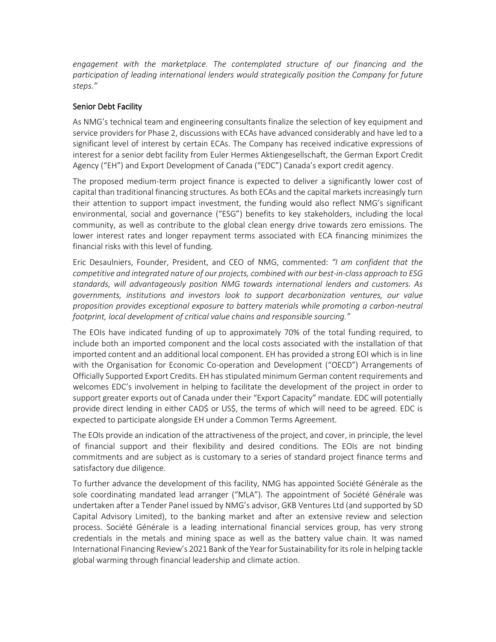*engagement with the marketplace. The contemplated structure of our financing and the participation of leading international lenders would strategically position the Company for future steps."*

## Senior Debt Facility

As NMG's technical team and engineering consultants finalize the selection of key equipment and service providers for Phase 2, discussions with ECAs have advanced considerably and have led to a significant level of interest by certain ECAs. The Company has received indicative expressions of interest for a senior debt facility from Euler Hermes Aktiengesellschaft, the German Export Credit Agency ("EH") and Export Development of Canada ("EDC") Canada's export credit agency.

The proposed medium-term project finance is expected to deliver a significantly lower cost of capital than traditional financing structures. As both ECAs and the capital markets increasingly turn their attention to support impact investment, the funding would also reflect NMG's significant environmental, social and governance ("ESG") benefits to key stakeholders, including the local community, as well as contribute to the global clean energy drive towards zero emissions. The lower interest rates and longer repayment terms associated with ECA financing minimizes the financial risks with this level of funding.

Eric Desaulniers, Founder, President, and CEO of NMG, commented: *"I am confident that the competitive and integrated nature of our projects, combined with our best-in-class approach to ESG standards, will advantageously position NMG towards international lenders and customers. As governments, institutions and investors look to support decarbonization ventures, our value proposition provides exceptional exposure to battery materials while promoting a carbon-neutral footprint, local development of critical value chains and responsible sourcing."*

The EOIs have indicated funding of up to approximately 70% of the total funding required, to include both an imported component and the local costs associated with the installation of that imported content and an additional local component. EH has provided a strong EOI which is in line with the Organisation for Economic Co-operation and Development ("OECD") Arrangements of Officially Supported Export Credits. EH has stipulated minimum German content requirements and welcomes EDC's involvement in helping to facilitate the development of the project in order to support greater exports out of Canada under their "Export Capacity" mandate. EDC will potentially provide direct lending in either CAD\$ or US\$, the terms of which will need to be agreed. EDC is expected to participate alongside EH under a Common Terms Agreement.

The EOIs provide an indication of the attractiveness of the project, and cover, in principle, the level of financial support and their flexibility and desired conditions. The EOIs are not binding commitments and are subject as is customary to a series of standard project finance terms and satisfactory due diligence.

To further advance the development of this facility, NMG has appointed Société Générale as the sole coordinating mandated lead arranger ("MLA"). The appointment of Société Générale was undertaken after a Tender Panel issued by NMG's advisor, GKB Ventures Ltd (and supported by SD Capital Advisory Limited), to the banking market and after an extensive review and selection process. Société Générale is a leading international financial services group, has very strong credentials in the metals and mining space as well as the battery value chain. It was named International Financing Review's 2021 Bank of the Year for Sustainability for its role in helping tackle global warming through financial leadership and climate action.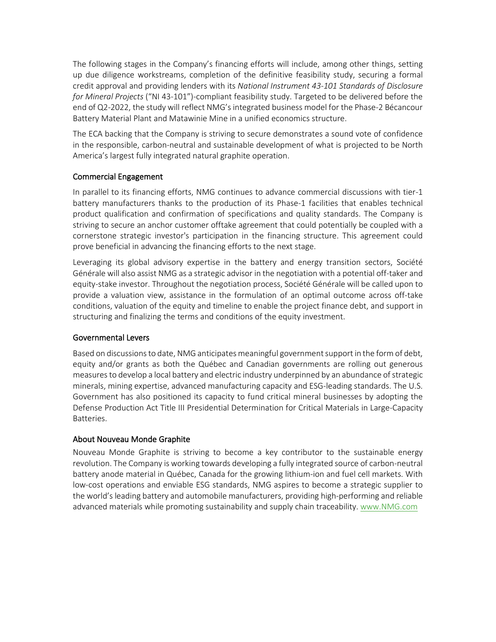The following stages in the Company's financing efforts will include, among other things, setting up due diligence workstreams, completion of the definitive feasibility study, securing a formal credit approval and providing lenders with its *National Instrument 43-101 Standards of Disclosure for Mineral Projects* ("NI 43-101")-compliant feasibility study. Targeted to be delivered before the end of Q2-2022, the study will reflect NMG's integrated business model for the Phase-2 Bécancour Battery Material Plant and Matawinie Mine in a unified economics structure.

The ECA backing that the Company is striving to secure demonstrates a sound vote of confidence in the responsible, carbon-neutral and sustainable development of what is projected to be North America's largest fully integrated natural graphite operation.

## Commercial Engagement

In parallel to its financing efforts, NMG continues to advance commercial discussions with tier-1 battery manufacturers thanks to the production of its Phase-1 facilities that enables technical product qualification and confirmation of specifications and quality standards. The Company is striving to secure an anchor customer offtake agreement that could potentially be coupled with a cornerstone strategic investor's participation in the financing structure. This agreement could prove beneficial in advancing the financing efforts to the next stage.

Leveraging its global advisory expertise in the battery and energy transition sectors, Société Générale will also assist NMG as a strategic advisor in the negotiation with a potential off-taker and equity-stake investor. Throughout the negotiation process, Société Générale will be called upon to provide a valuation view, assistance in the formulation of an optimal outcome across off-take conditions, valuation of the equity and timeline to enable the project finance debt, and support in structuring and finalizing the terms and conditions of the equity investment.

## Governmental Levers

Based on discussions to date, NMG anticipates meaningful government support in the form of debt, equity and/or grants as both the Québec and Canadian governments are rolling out generous measuresto develop a local battery and electric industry underpinned by an abundance of strategic minerals, mining expertise, advanced manufacturing capacity and ESG-leading standards. The U.S. Government has also positioned its capacity to fund critical mineral businesses by adopting the Defense Production Act Title III Presidential Determination for Critical Materials in Large-Capacity Batteries.

## About Nouveau Monde Graphite

Nouveau Monde Graphite is striving to become a key contributor to the sustainable energy revolution. The Company is working towards developing a fully integrated source of carbon-neutral battery anode material in Québec, Canada for the growing lithium-ion and fuel cell markets. With low-cost operations and enviable ESG standards, NMG aspires to become a strategic supplier to the world's leading battery and automobile manufacturers, providing high-performing and reliable advanced materials while promoting sustainability and supply chain traceability. [www.NMG.com](http://www.nmg.com/)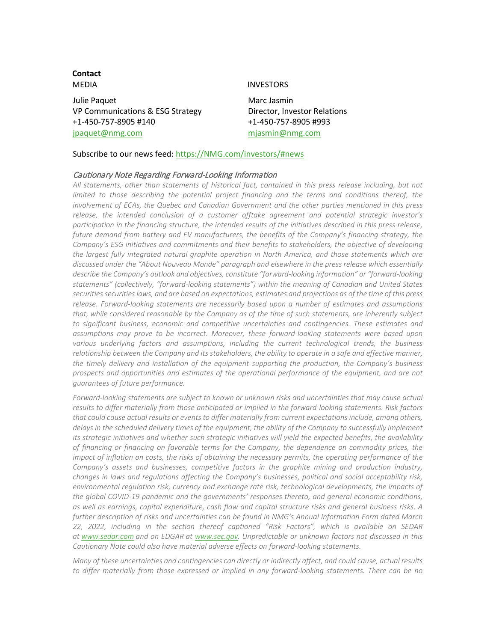| <b>Contact</b>                   |                              |
|----------------------------------|------------------------------|
| <b>MEDIA</b>                     | <b>INVESTORS</b>             |
| Julie Paquet                     | Marc Jasmin                  |
| VP Communications & ESG Strategy | Director, Investor Relations |
| +1-450-757-8905 #140             | +1-450-757-8905 #993         |
| jpaquet@nmg.com                  | mjasmin@nmg.com              |

#### Subscribe to our news feed: [https://NMG.com/investors/#news](https://nmg.com/investors/#news)

#### Cautionary Note Regarding Forward-Looking Information

*All statements, other than statements of historical fact, contained in this press release including, but not*  limited to those describing the potential project financing and the terms and conditions thereof, the *involvement of ECAs, the Quebec and Canadian Government and the other parties mentioned in this press release, the intended conclusion of a customer offtake agreement and potential strategic investor's participation in the financing structure, the intended results of the initiatives described in this press release, future demand from battery and EV manufacturers, the benefits of the Company's financing strategy, the Company's ESG initiatives and commitments and their benefits to stakeholders, the objective of developing the largest fully integrated natural graphite operation in North America, and those statements which are discussed under the "About Nouveau Monde" paragraph and elsewhere in the press release which essentially describe the Company's outlook and objectives, constitute "forward-looking information" or "forward-looking statements" (collectively, "forward-looking statements") within the meaning of Canadian and United States securities securities laws, and are based on expectations, estimates and projections as of the time of this press release. Forward-looking statements are necessarily based upon a number of estimates and assumptions that, while considered reasonable by the Company as of the time of such statements, are inherently subject to significant business, economic and competitive uncertainties and contingencies. These estimates and assumptions may prove to be incorrect. Moreover, these forward-looking statements were based upon various underlying factors and assumptions, including the current technological trends, the business relationship between the Company and its stakeholders, the ability to operate in a safe and effective manner, the timely delivery and installation of the equipment supporting the production, the Company's business prospects and opportunities and estimates of the operational performance of the equipment, and are not guarantees of future performance.* 

*Forward-looking statements are subject to known or unknown risks and uncertainties that may cause actual results to differ materially from those anticipated or implied in the forward-looking statements. Risk factors that could cause actual results or events to differ materially from current expectations include, among others, delays in the scheduled delivery times of the equipment, the ability of the Company to successfully implement its strategic initiatives and whether such strategic initiatives will yield the expected benefits, the availability of financing or financing on favorable terms for the Company, the dependence on commodity prices, the impact of inflation on costs, the risks of obtaining the necessary permits, the operating performance of the Company's assets and businesses, competitive factors in the graphite mining and production industry, changes in laws and regulations affecting the Company's businesses, political and social acceptability risk, environmental regulation risk, currency and exchange rate risk, technological developments, the impacts of the global COVID-19 pandemic and the governments' responses thereto, and general economic conditions, as well as earnings, capital expenditure, cash flow and capital structure risks and general business risks. A further description of risks and uncertainties can be found in NMG's Annual Information Form dated March 22, 2022, including in the section thereof captioned "Risk Factors", which is available on SEDAR at [www.sedar.com](http://www.sedar.com/) and on EDGAR at [www.sec.gov.](http://www.sec.gov/) Unpredictable or unknown factors not discussed in this Cautionary Note could also have material adverse effects on forward-looking statements.* 

*Many of these uncertainties and contingencies can directly or indirectly affect, and could cause, actual results to differ materially from those expressed or implied in any forward-looking statements. There can be no*